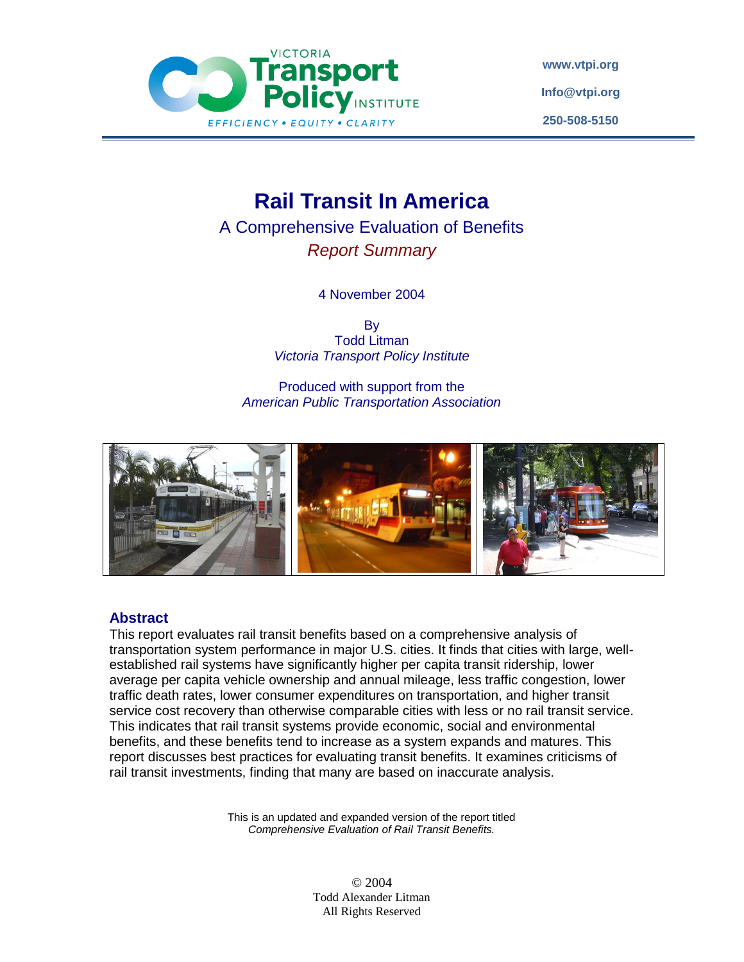

**[www.vtpi.org](http://www.vtpi.org/) [Info@vtpi.org](mailto:Info@vtpi.org) 250-508-5150**

# **Rail Transit In America**

A Comprehensive Evaluation of Benefits *Report Summary*

4 November 2004

By Todd Litman *Victoria Transport Policy Institute*

Produced with support from the *American Public Transportation Association*



#### **Abstract**

This report evaluates rail transit benefits based on a comprehensive analysis of transportation system performance in major U.S. cities. It finds that cities with large, wellestablished rail systems have significantly higher per capita transit ridership, lower average per capita vehicle ownership and annual mileage, less traffic congestion, lower traffic death rates, lower consumer expenditures on transportation, and higher transit service cost recovery than otherwise comparable cities with less or no rail transit service. This indicates that rail transit systems provide economic, social and environmental benefits, and these benefits tend to increase as a system expands and matures. This report discusses best practices for evaluating transit benefits. It examines criticisms of rail transit investments, finding that many are based on inaccurate analysis.

> This is an updated and expanded version of the report titled *Comprehensive Evaluation of Rail Transit Benefits.*

> > © 2004 Todd Alexander Litman All Rights Reserved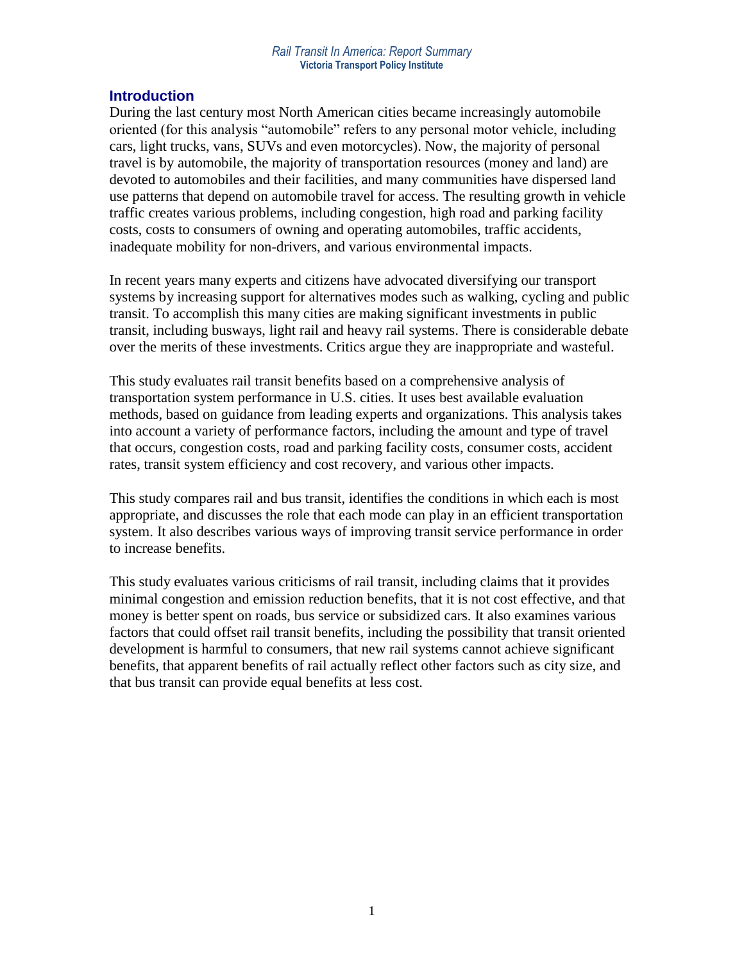#### **Introduction**

During the last century most North American cities became increasingly automobile oriented (for this analysis "automobile" refers to any personal motor vehicle, including cars, light trucks, vans, SUVs and even motorcycles). Now, the majority of personal travel is by automobile, the majority of transportation resources (money and land) are devoted to automobiles and their facilities, and many communities have dispersed land use patterns that depend on automobile travel for access. The resulting growth in vehicle traffic creates various problems, including congestion, high road and parking facility costs, costs to consumers of owning and operating automobiles, traffic accidents, inadequate mobility for non-drivers, and various environmental impacts.

In recent years many experts and citizens have advocated diversifying our transport systems by increasing support for alternatives modes such as walking, cycling and public transit. To accomplish this many cities are making significant investments in public transit, including busways, light rail and heavy rail systems. There is considerable debate over the merits of these investments. Critics argue they are inappropriate and wasteful.

This study evaluates rail transit benefits based on a comprehensive analysis of transportation system performance in U.S. cities. It uses best available evaluation methods, based on guidance from leading experts and organizations. This analysis takes into account a variety of performance factors, including the amount and type of travel that occurs, congestion costs, road and parking facility costs, consumer costs, accident rates, transit system efficiency and cost recovery, and various other impacts.

This study compares rail and bus transit, identifies the conditions in which each is most appropriate, and discusses the role that each mode can play in an efficient transportation system. It also describes various ways of improving transit service performance in order to increase benefits.

This study evaluates various criticisms of rail transit, including claims that it provides minimal congestion and emission reduction benefits, that it is not cost effective, and that money is better spent on roads, bus service or subsidized cars. It also examines various factors that could offset rail transit benefits, including the possibility that transit oriented development is harmful to consumers, that new rail systems cannot achieve significant benefits, that apparent benefits of rail actually reflect other factors such as city size, and that bus transit can provide equal benefits at less cost.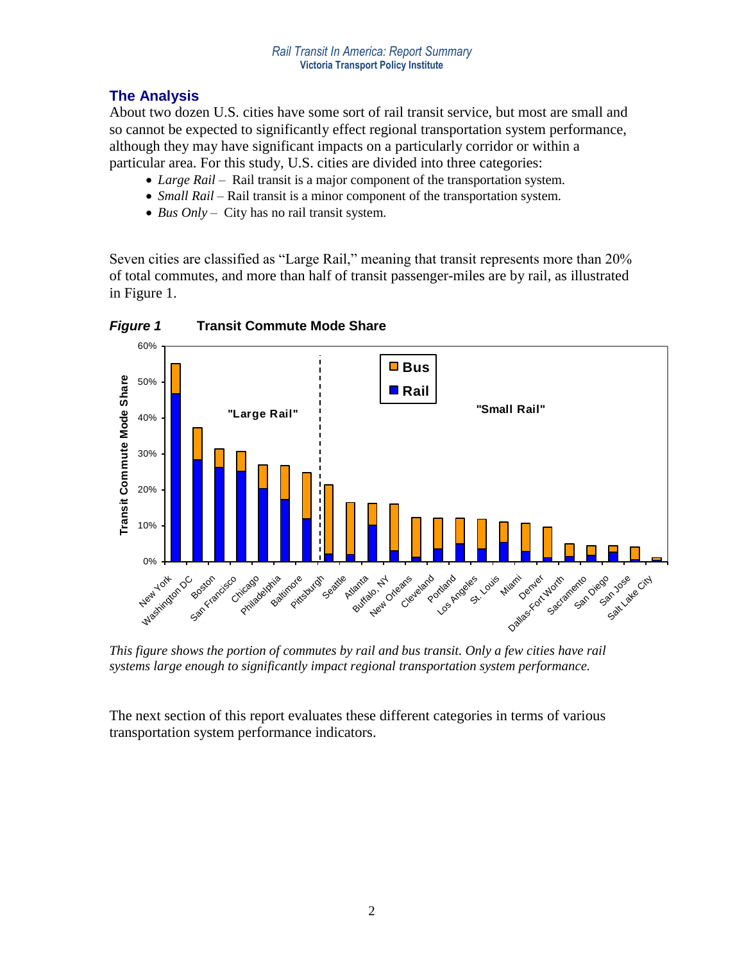# **The Analysis**

About two dozen U.S. cities have some sort of rail transit service, but most are small and so cannot be expected to significantly effect regional transportation system performance, although they may have significant impacts on a particularly corridor or within a particular area. For this study, U.S. cities are divided into three categories:

- *Large Rail* Rail transit is a major component of the transportation system.
- *Small Rail* Rail transit is a minor component of the transportation system.
- *Bus Only* City has no rail transit system.

Seven cities are classified as "Large Rail," meaning that transit represents more than 20% of total commutes, and more than half of transit passenger-miles are by rail, as illustrated in Figure 1.



*This figure shows the portion of commutes by rail and bus transit. Only a few cities have rail systems large enough to significantly impact regional transportation system performance.*

The next section of this report evaluates these different categories in terms of various transportation system performance indicators.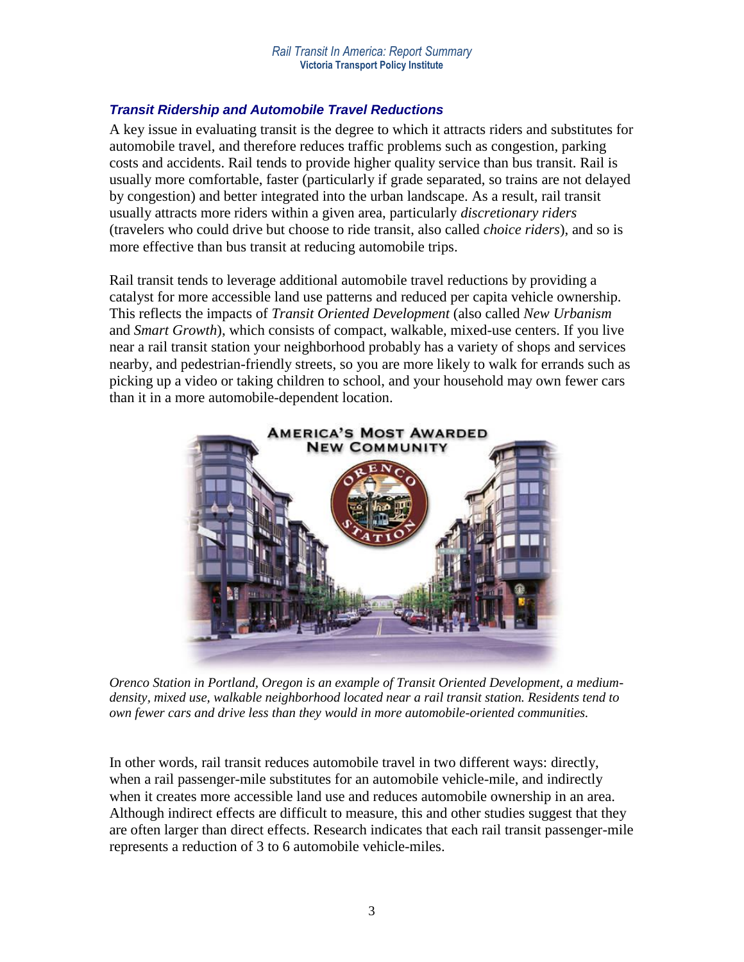# *Transit Ridership and Automobile Travel Reductions*

A key issue in evaluating transit is the degree to which it attracts riders and substitutes for automobile travel, and therefore reduces traffic problems such as congestion, parking costs and accidents. Rail tends to provide higher quality service than bus transit. Rail is usually more comfortable, faster (particularly if grade separated, so trains are not delayed by congestion) and better integrated into the urban landscape. As a result, rail transit usually attracts more riders within a given area, particularly *discretionary riders* (travelers who could drive but choose to ride transit, also called *choice riders*), and so is more effective than bus transit at reducing automobile trips.

Rail transit tends to leverage additional automobile travel reductions by providing a catalyst for more accessible land use patterns and reduced per capita vehicle ownership. This reflects the impacts of *Transit Oriented Development* (also called *New Urbanism* and *Smart Growth*), which consists of compact, walkable, mixed-use centers. If you live near a rail transit station your neighborhood probably has a variety of shops and services nearby, and pedestrian-friendly streets, so you are more likely to walk for errands such as picking up a video or taking children to school, and your household may own fewer cars than it in a more automobile-dependent location.



*Orenco Station in Portland, Oregon is an example of Transit Oriented Development, a mediumdensity, mixed use, walkable neighborhood located near a rail transit station. Residents tend to own fewer cars and drive less than they would in more automobile-oriented communities.*

In other words, rail transit reduces automobile travel in two different ways: directly, when a rail passenger-mile substitutes for an automobile vehicle-mile, and indirectly when it creates more accessible land use and reduces automobile ownership in an area. Although indirect effects are difficult to measure, this and other studies suggest that they are often larger than direct effects. Research indicates that each rail transit passenger-mile represents a reduction of 3 to 6 automobile vehicle-miles.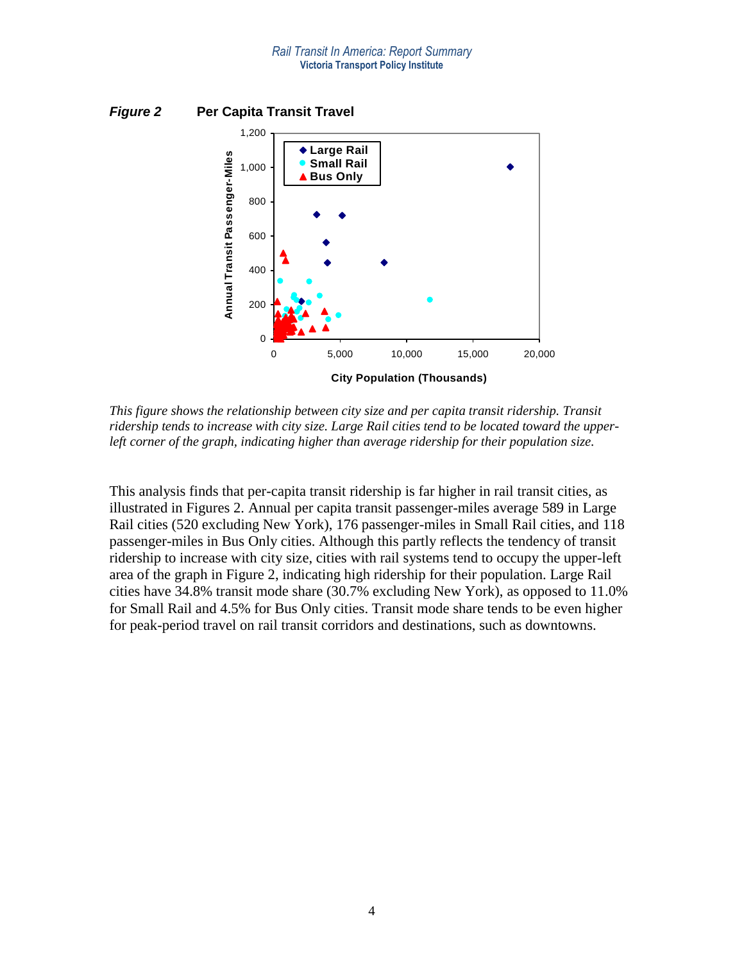

*Figure 2* **Per Capita Transit Travel** 

*This figure shows the relationship between city size and per capita transit ridership. Transit ridership tends to increase with city size. Large Rail cities tend to be located toward the upperleft corner of the graph, indicating higher than average ridership for their population size.*

This analysis finds that per-capita transit ridership is far higher in rail transit cities, as illustrated in Figures 2. Annual per capita transit passenger-miles average 589 in Large Rail cities (520 excluding New York), 176 passenger-miles in Small Rail cities, and 118 passenger-miles in Bus Only cities. Although this partly reflects the tendency of transit ridership to increase with city size, cities with rail systems tend to occupy the upper-left area of the graph in Figure 2, indicating high ridership for their population. Large Rail cities have 34.8% transit mode share (30.7% excluding New York), as opposed to 11.0% for Small Rail and 4.5% for Bus Only cities. Transit mode share tends to be even higher for peak-period travel on rail transit corridors and destinations, such as downtowns.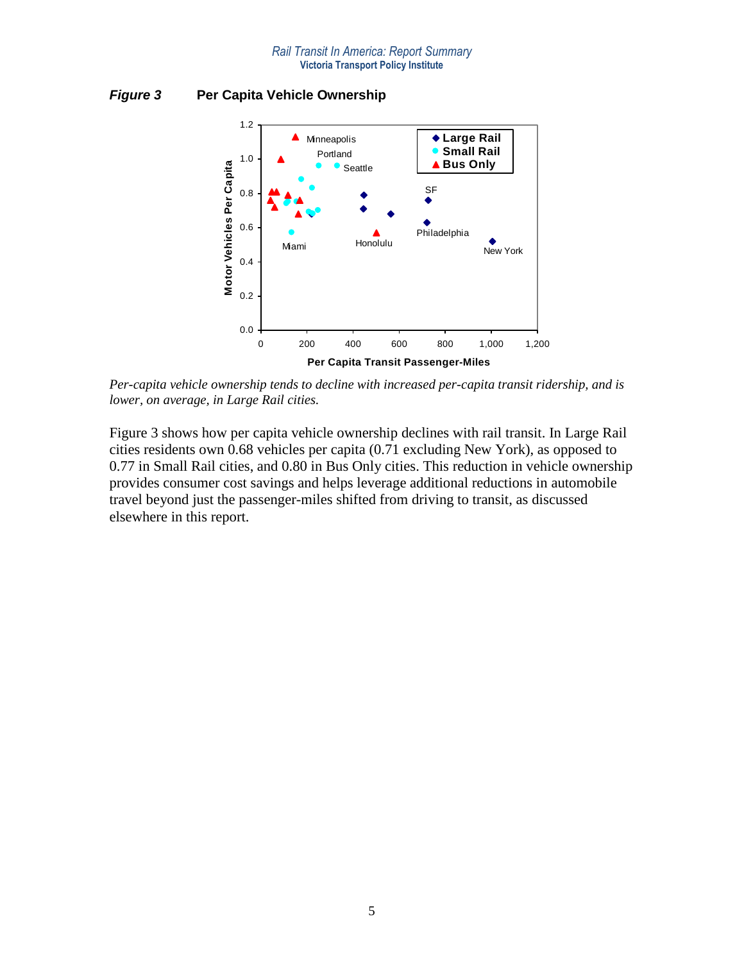*Figure 3* **Per Capita Vehicle Ownership** 



*Per-capita vehicle ownership tends to decline with increased per-capita transit ridership, and is lower, on average, in Large Rail cities.*

Figure 3 shows how per capita vehicle ownership declines with rail transit. In Large Rail cities residents own 0.68 vehicles per capita (0.71 excluding New York), as opposed to 0.77 in Small Rail cities, and 0.80 in Bus Only cities. This reduction in vehicle ownership provides consumer cost savings and helps leverage additional reductions in automobile travel beyond just the passenger-miles shifted from driving to transit, as discussed elsewhere in this report.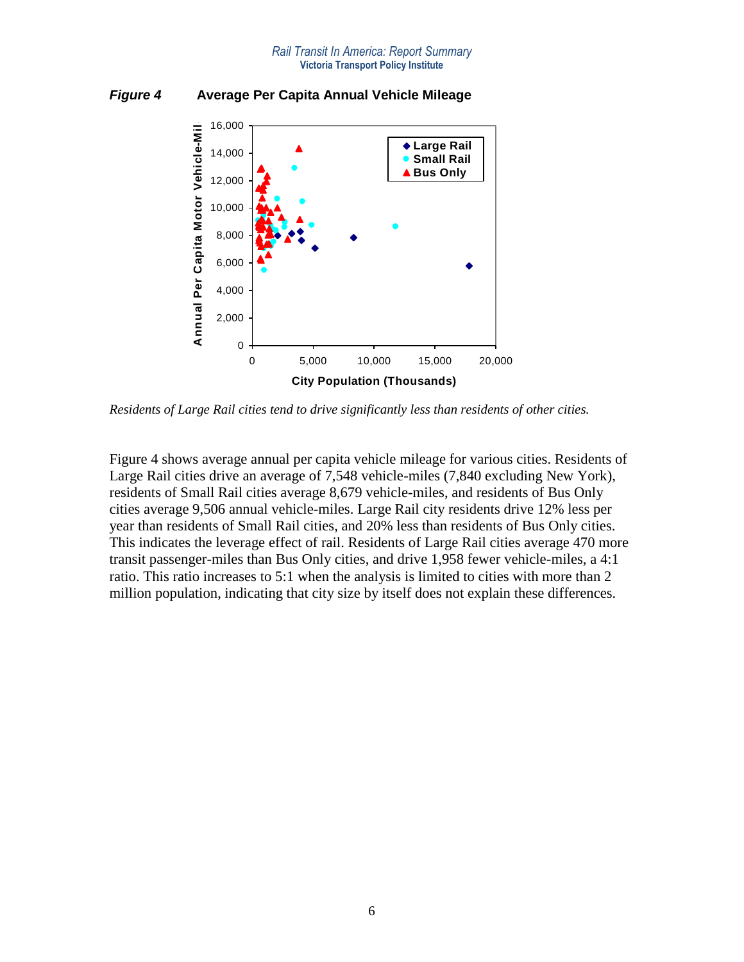#### *Rail Transit In America: Report Summary* **Victoria Transport Policy Institute**



*Figure 4* **Average Per Capita Annual Vehicle Mileage** 

*Residents of Large Rail cities tend to drive significantly less than residents of other cities.* 

Figure 4 shows average annual per capita vehicle mileage for various cities. Residents of Large Rail cities drive an average of 7,548 vehicle-miles (7,840 excluding New York), residents of Small Rail cities average 8,679 vehicle-miles, and residents of Bus Only cities average 9,506 annual vehicle-miles. Large Rail city residents drive 12% less per year than residents of Small Rail cities, and 20% less than residents of Bus Only cities. This indicates the leverage effect of rail. Residents of Large Rail cities average 470 more transit passenger-miles than Bus Only cities, and drive 1,958 fewer vehicle-miles, a 4:1 ratio. This ratio increases to 5:1 when the analysis is limited to cities with more than 2 million population, indicating that city size by itself does not explain these differences.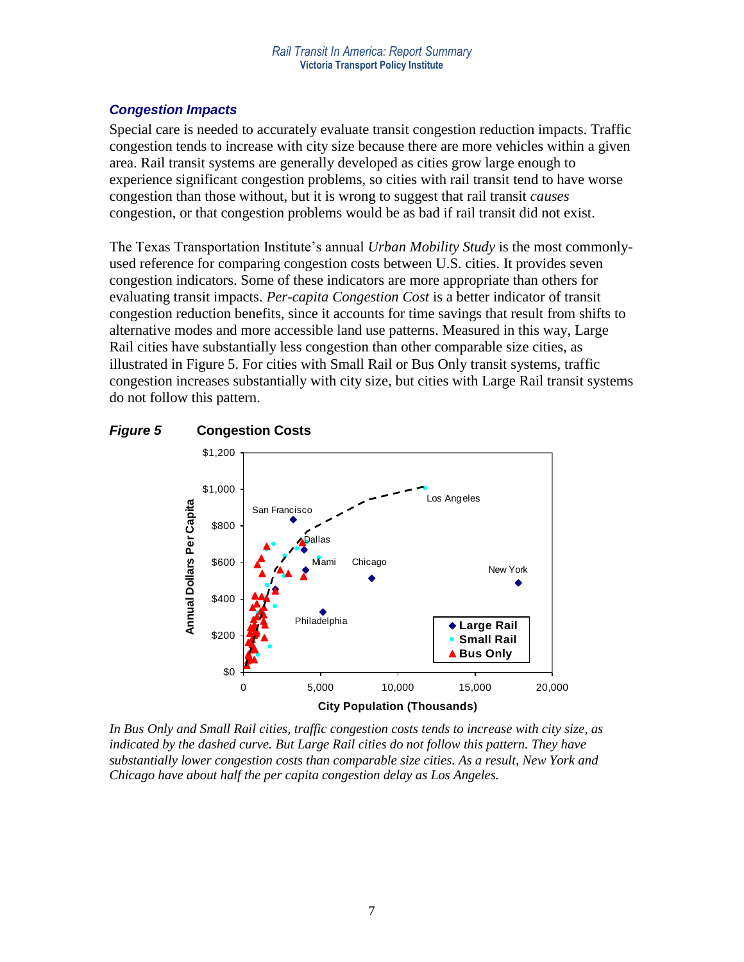### *Congestion Impacts*

Special care is needed to accurately evaluate transit congestion reduction impacts. Traffic congestion tends to increase with city size because there are more vehicles within a given area. Rail transit systems are generally developed as cities grow large enough to experience significant congestion problems, so cities with rail transit tend to have worse congestion than those without, but it is wrong to suggest that rail transit *causes* congestion, or that congestion problems would be as bad if rail transit did not exist.

The Texas Transportation Institute's annual *Urban Mobility Study* is the most commonlyused reference for comparing congestion costs between U.S. cities. It provides seven congestion indicators. Some of these indicators are more appropriate than others for evaluating transit impacts. *Per-capita Congestion Cost* is a better indicator of transit congestion reduction benefits, since it accounts for time savings that result from shifts to alternative modes and more accessible land use patterns. Measured in this way, Large Rail cities have substantially less congestion than other comparable size cities, as illustrated in Figure 5. For cities with Small Rail or Bus Only transit systems, traffic congestion increases substantially with city size, but cities with Large Rail transit systems do not follow this pattern.





*In Bus Only and Small Rail cities, traffic congestion costs tends to increase with city size, as indicated by the dashed curve. But Large Rail cities do not follow this pattern. They have substantially lower congestion costs than comparable size cities. As a result, New York and Chicago have about half the per capita congestion delay as Los Angeles.*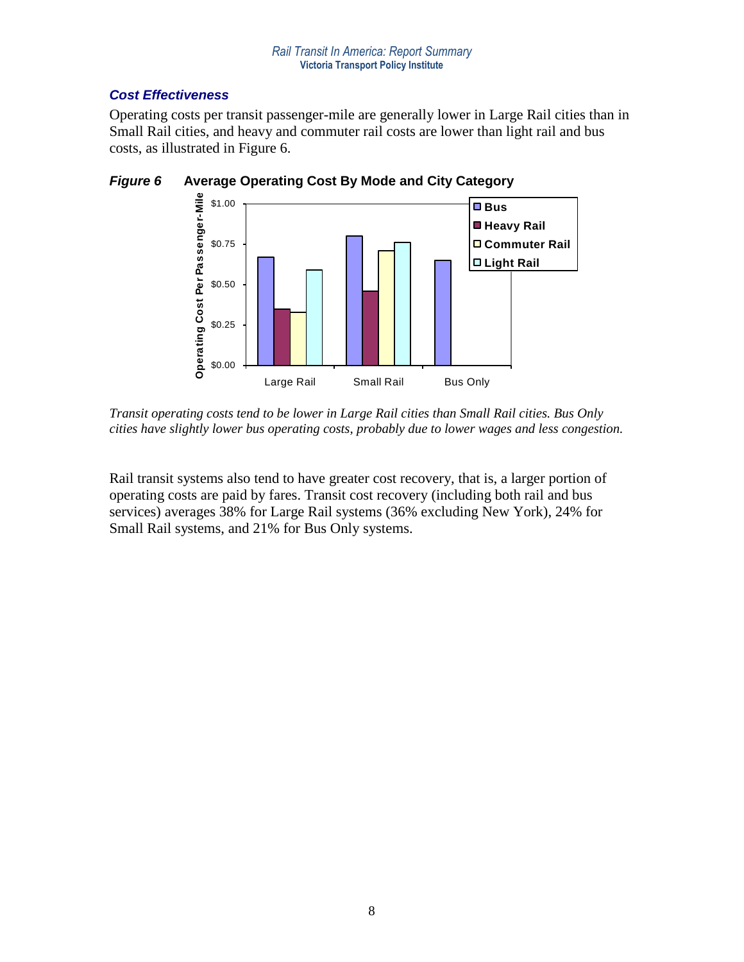# *Cost Effectiveness*

Operating costs per transit passenger-mile are generally lower in Large Rail cities than in Small Rail cities, and heavy and commuter rail costs are lower than light rail and bus costs, as illustrated in Figure 6.



*Figure 6* **Average Operating Cost By Mode and City Category** 

*Transit operating costs tend to be lower in Large Rail cities than Small Rail cities. Bus Only cities have slightly lower bus operating costs, probably due to lower wages and less congestion.*

Rail transit systems also tend to have greater cost recovery, that is, a larger portion of operating costs are paid by fares. Transit cost recovery (including both rail and bus services) averages 38% for Large Rail systems (36% excluding New York), 24% for Small Rail systems, and 21% for Bus Only systems.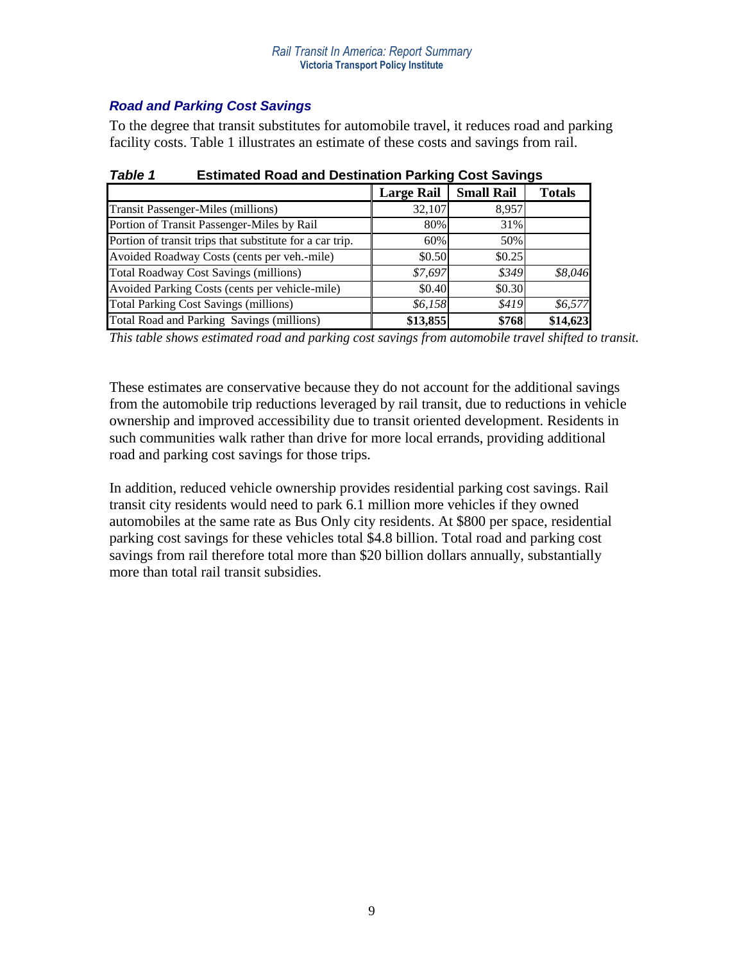# *Road and Parking Cost Savings*

To the degree that transit substitutes for automobile travel, it reduces road and parking facility costs. Table 1 illustrates an estimate of these costs and savings from rail.

|                                                          | <b>Large Rail</b> | <b>Small Rail</b> | <b>Totals</b> |  |
|----------------------------------------------------------|-------------------|-------------------|---------------|--|
| <b>Transit Passenger-Miles (millions)</b>                | 32,107            | 8,957             |               |  |
| Portion of Transit Passenger-Miles by Rail               | 80%               | 31%               |               |  |
| Portion of transit trips that substitute for a car trip. | 60%               | 50%               |               |  |
| Avoided Roadway Costs (cents per veh.-mile)              | \$0.50            | \$0.25            |               |  |
| <b>Total Roadway Cost Savings (millions)</b>             | \$7,697           | \$349             | \$8,046       |  |
| Avoided Parking Costs (cents per vehicle-mile)           | \$0.40            | \$0.30            |               |  |
| <b>Total Parking Cost Savings (millions)</b>             | \$6,158           | \$419             | \$6,577       |  |
| Total Road and Parking Savings (millions)                | \$13,855          | \$768             | \$14,623      |  |

| Table 1 | <b>Estimated Road and Destination Parking Cost Savings</b> |  |  |
|---------|------------------------------------------------------------|--|--|
|         |                                                            |  |  |

*This table shows estimated road and parking cost savings from automobile travel shifted to transit.* 

These estimates are conservative because they do not account for the additional savings from the automobile trip reductions leveraged by rail transit, due to reductions in vehicle ownership and improved accessibility due to transit oriented development. Residents in such communities walk rather than drive for more local errands, providing additional road and parking cost savings for those trips.

In addition, reduced vehicle ownership provides residential parking cost savings. Rail transit city residents would need to park 6.1 million more vehicles if they owned automobiles at the same rate as Bus Only city residents. At \$800 per space, residential parking cost savings for these vehicles total \$4.8 billion. Total road and parking cost savings from rail therefore total more than \$20 billion dollars annually, substantially more than total rail transit subsidies.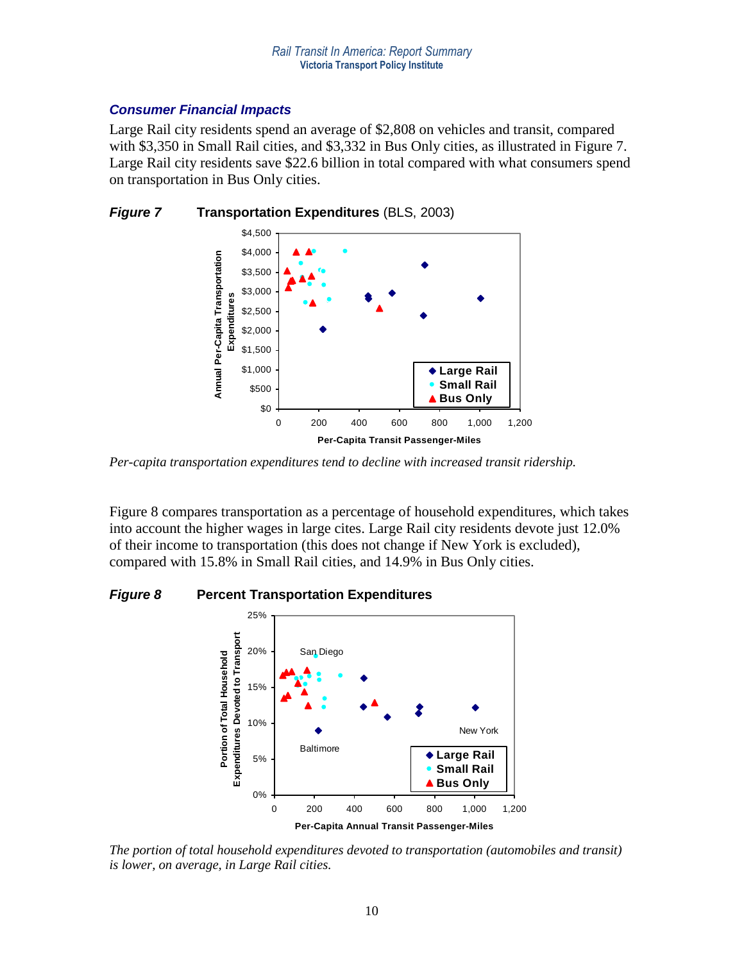#### *Consumer Financial Impacts*

Large Rail city residents spend an average of \$2,808 on vehicles and transit, compared with \$3,350 in Small Rail cities, and \$3,332 in Bus Only cities, as illustrated in Figure 7. Large Rail city residents save \$22.6 billion in total compared with what consumers spend on transportation in Bus Only cities.



*Figure 7* **Transportation Expenditures** (BLS, 2003)

*Per-capita transportation expenditures tend to decline with increased transit ridership.*

Figure 8 compares transportation as a percentage of household expenditures, which takes into account the higher wages in large cites. Large Rail city residents devote just 12.0% of their income to transportation (this does not change if New York is excluded), compared with 15.8% in Small Rail cities, and 14.9% in Bus Only cities.



*Figure 8* **Percent Transportation Expenditures**

*The portion of total household expenditures devoted to transportation (automobiles and transit) is lower, on average, in Large Rail cities.*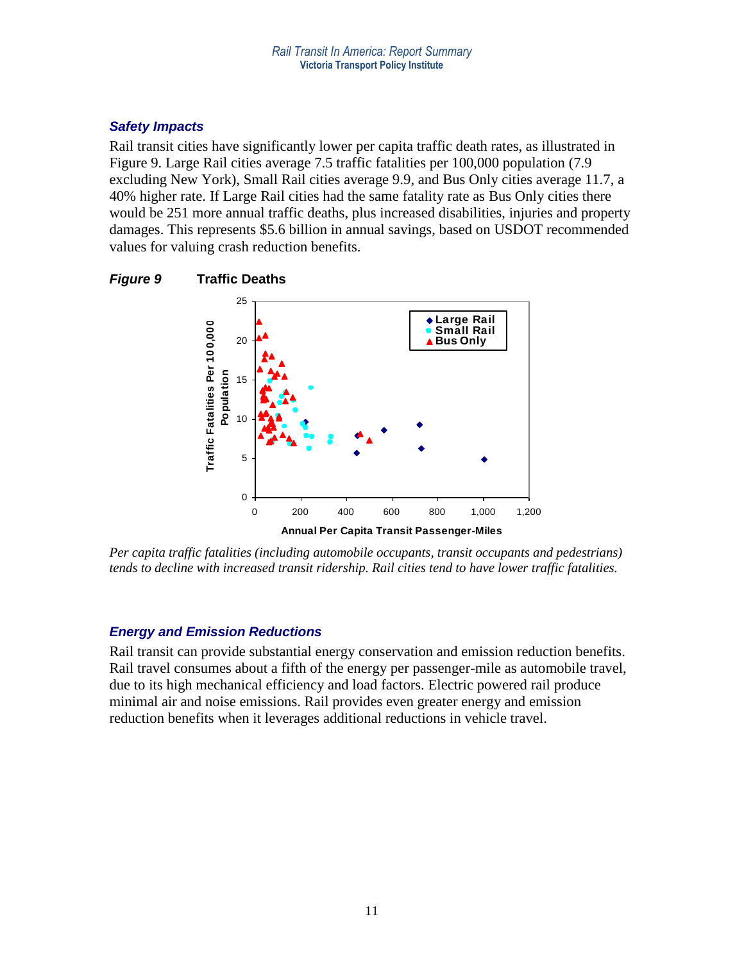### *Safety Impacts*

Rail transit cities have significantly lower per capita traffic death rates, as illustrated in Figure 9. Large Rail cities average 7.5 traffic fatalities per 100,000 population (7.9 excluding New York), Small Rail cities average 9.9, and Bus Only cities average 11.7, a 40% higher rate. If Large Rail cities had the same fatality rate as Bus Only cities there would be 251 more annual traffic deaths, plus increased disabilities, injuries and property damages. This represents \$5.6 billion in annual savings, based on USDOT recommended values for valuing crash reduction benefits.





*Per capita traffic fatalities (including automobile occupants, transit occupants and pedestrians) tends to decline with increased transit ridership. Rail cities tend to have lower traffic fatalities.* 

# *Energy and Emission Reductions*

Rail transit can provide substantial energy conservation and emission reduction benefits. Rail travel consumes about a fifth of the energy per passenger-mile as automobile travel, due to its high mechanical efficiency and load factors. Electric powered rail produce minimal air and noise emissions. Rail provides even greater energy and emission reduction benefits when it leverages additional reductions in vehicle travel.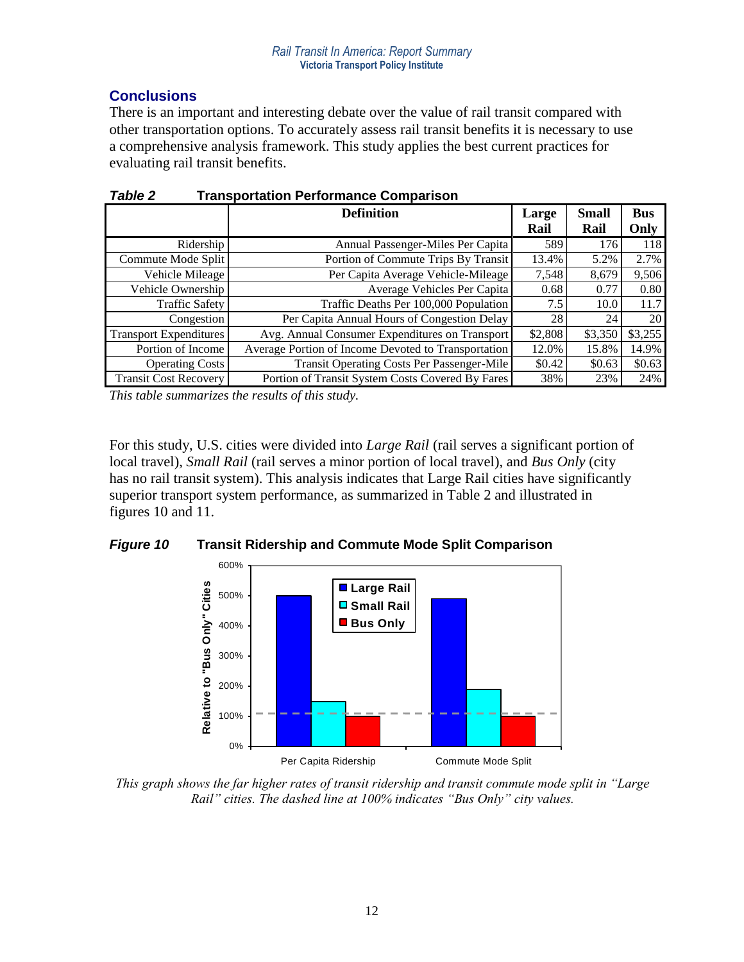# **Conclusions**

There is an important and interesting debate over the value of rail transit compared with other transportation options. To accurately assess rail transit benefits it is necessary to use a comprehensive analysis framework. This study applies the best current practices for evaluating rail transit benefits.

|                               | <b>Definition</b>                                   | Large<br>Rail | <b>Small</b><br>Rail | <b>Bus</b><br>Only |
|-------------------------------|-----------------------------------------------------|---------------|----------------------|--------------------|
| Ridership                     | Annual Passenger-Miles Per Capita                   | 589           | 176                  | 118                |
| Commute Mode Split            | Portion of Commute Trips By Transit                 | 13.4%         | 5.2%                 | 2.7%               |
| Vehicle Mileage               | Per Capita Average Vehicle-Mileage                  | 7,548         | 8,679                | 9,506              |
| Vehicle Ownership             | Average Vehicles Per Capita                         | 0.68          | 0.77                 | 0.80               |
| <b>Traffic Safety</b>         | Traffic Deaths Per 100,000 Population               | 7.5           | 10.0                 | 11.7               |
| Congestion                    | Per Capita Annual Hours of Congestion Delay         | 28            | 24                   | 20                 |
| <b>Transport Expenditures</b> | Avg. Annual Consumer Expenditures on Transport      | \$2,808       | \$3,350              | \$3,255            |
| Portion of Income             | Average Portion of Income Devoted to Transportation | 12.0%         | 15.8%                | 14.9%              |
| <b>Operating Costs</b>        | <b>Transit Operating Costs Per Passenger-Mile</b>   | \$0.42        | \$0.63               | \$0.63             |
| <b>Transit Cost Recovery</b>  | Portion of Transit System Costs Covered By Fares    | 38%           | 23%                  | 24%                |

*Table 2* **Transportation Performance Comparison**

*This table summarizes the results of this study.*

For this study, U.S. cities were divided into *Large Rail* (rail serves a significant portion of local travel), *Small Rail* (rail serves a minor portion of local travel), and *Bus Only* (city has no rail transit system). This analysis indicates that Large Rail cities have significantly superior transport system performance, as summarized in Table 2 and illustrated in figures 10 and 11.





*This graph shows the far higher rates of transit ridership and transit commute mode split in "Large Rail" cities. The dashed line at 100% indicates "Bus Only" city values.*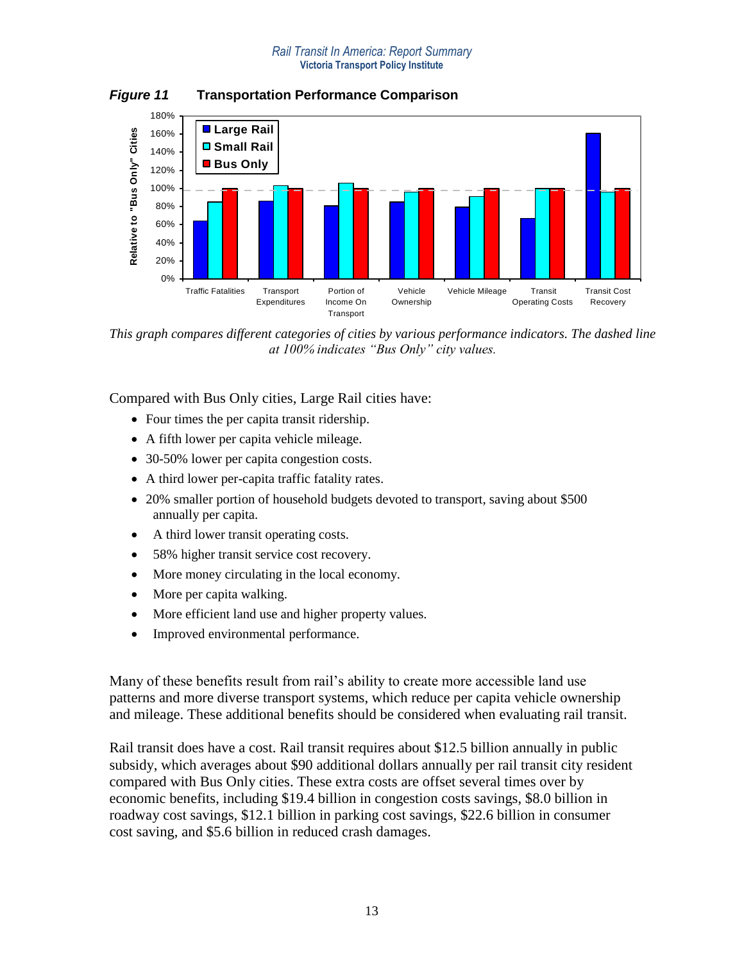#### *Rail Transit In America: Report Summary* **Victoria Transport Policy Institute**

180% **Large Rail** Relative to "Bus Only" Cities 160% **Relative to "Bus Only" Cities Small Rail** 140% **Bus Only** 120% 100% 80% 60% 40%<br>20%<br>0% 20% Traffic Fatalities Transport Portion of Vehicle Vehicle Mileage Transit Transit Cost Expenditures Income On Ownership Operating Costs Recovery **Transport** 

*Figure 11* **Transportation Performance Comparison**

*This graph compares different categories of cities by various performance indicators. The dashed line at 100% indicates "Bus Only" city values.*

Compared with Bus Only cities, Large Rail cities have:

- Four times the per capita transit ridership.
- A fifth lower per capita vehicle mileage.
- 30-50% lower per capita congestion costs.
- A third lower per-capita traffic fatality rates.
- 20% smaller portion of household budgets devoted to transport, saving about \$500 annually per capita.
- A third lower transit operating costs.
- 58% higher transit service cost recovery.
- More money circulating in the local economy.
- More per capita walking.
- More efficient land use and higher property values.
- Improved environmental performance.

Many of these benefits result from rail's ability to create more accessible land use patterns and more diverse transport systems, which reduce per capita vehicle ownership and mileage. These additional benefits should be considered when evaluating rail transit.

Rail transit does have a cost. Rail transit requires about \$12.5 billion annually in public subsidy, which averages about \$90 additional dollars annually per rail transit city resident compared with Bus Only cities. These extra costs are offset several times over by economic benefits, including \$19.4 billion in congestion costs savings, \$8.0 billion in roadway cost savings, \$12.1 billion in parking cost savings, \$22.6 billion in consumer cost saving, and \$5.6 billion in reduced crash damages.